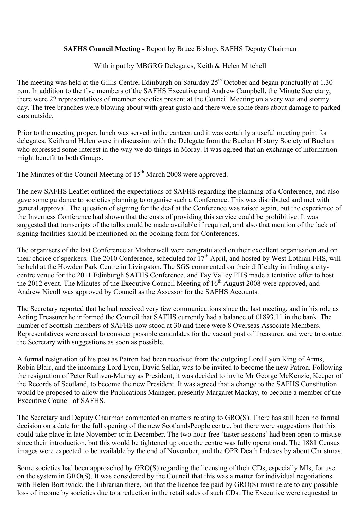## **SAFHS Council Meeting -** Report by Bruce Bishop, SAFHS Deputy Chairman

With input by MBGRG Delegates, Keith & Helen Mitchell

The meeting was held at the Gillis Centre, Edinburgh on Saturday  $25<sup>th</sup>$  October and began punctually at 1.30 p.m. In addition to the five members of the SAFHS Executive and Andrew Campbell, the Minute Secretary, there were 22 representatives of member societies present at the Council Meeting on a very wet and stormy day. The tree branches were blowing about with great gusto and there were some fears about damage to parked cars outside.

Prior to the meeting proper, lunch was served in the canteen and it was certainly a useful meeting point for delegates. Keith and Helen were in discussion with the Delegate from the Buchan History Society of Buchan who expressed some interest in the way we do things in Moray. It was agreed that an exchange of information might benefit to both Groups.

The Minutes of the Council Meeting of 15<sup>th</sup> March 2008 were approved.

The new SAFHS Leaflet outlined the expectations of SAFHS regarding the planning of a Conference, and also gave some guidance to societies planning to organise such a Conference. This was distributed and met with general approval. The question of signing for the deaf at the Conference was raised again, but the experience of the Inverness Conference had shown that the costs of providing this service could be prohibitive. It was suggested that transcripts of the talks could be made available if required, and also that mention of the lack of signing facilities should be mentioned on the booking form for Conferences.

The organisers of the last Conference at Motherwell were congratulated on their excellent organisation and on their choice of speakers. The 2010 Conference, scheduled for  $17<sup>th</sup>$  April, and hosted by West Lothian FHS, will be held at the Howden Park Centre in Livingston. The SGS commented on their difficulty in finding a citycentre venue for the 2011 Edinburgh SAFHS Conference, and Tay Valley FHS made a tentative offer to host the 2012 event. The Minutes of the Executive Council Meeting of 16<sup>th</sup> August 2008 were approved, and Andrew Nicoll was approved by Council as the Assessor for the SAFHS Accounts.

The Secretary reported that he had received very few communications since the last meeting, and in his role as Acting Treasurer he informed the Council that SAFHS currently had a balance of £1893.11 in the bank. The number of Scottish members of SAFHS now stood at 30 and there were 8 Overseas Associate Members. Representatives were asked to consider possible candidates for the vacant post of Treasurer, and were to contact the Secretary with suggestions as soon as possible.

A formal resignation of his post as Patron had been received from the outgoing Lord Lyon King of Arms, Robin Blair, and the incoming Lord Lyon, David Sellar, was to be invited to become the new Patron. Following the resignation of Peter Ruthven-Murray as President, it was decided to invite Mr George McKenzie, Keeper of the Records of Scotland, to become the new President. It was agreed that a change to the SAFHS Constitution would be proposed to allow the Publications Manager, presently Margaret Mackay, to become a member of the Executive Council of SAFHS.

The Secretary and Deputy Chairman commented on matters relating to GRO(S). There has still been no formal decision on a date for the full opening of the new ScotlandsPeople centre, but there were suggestions that this could take place in late November or in December. The two hour free 'taster sessions' had been open to misuse since their introduction, but this would be tightened up once the centre was fully operational. The 1881 Census images were expected to be available by the end of November, and the OPR Death Indexes by about Christmas.

Some societies had been approached by GRO(S) regarding the licensing of their CDs, especially MIs, for use on the system in GRO(S). It was considered by the Council that this was a matter for individual negotiations with Helen Borthwick, the Librarian there, but that the licence fee paid by GRO(S) must relate to any possible loss of income by societies due to a reduction in the retail sales of such CDs. The Executive were requested to